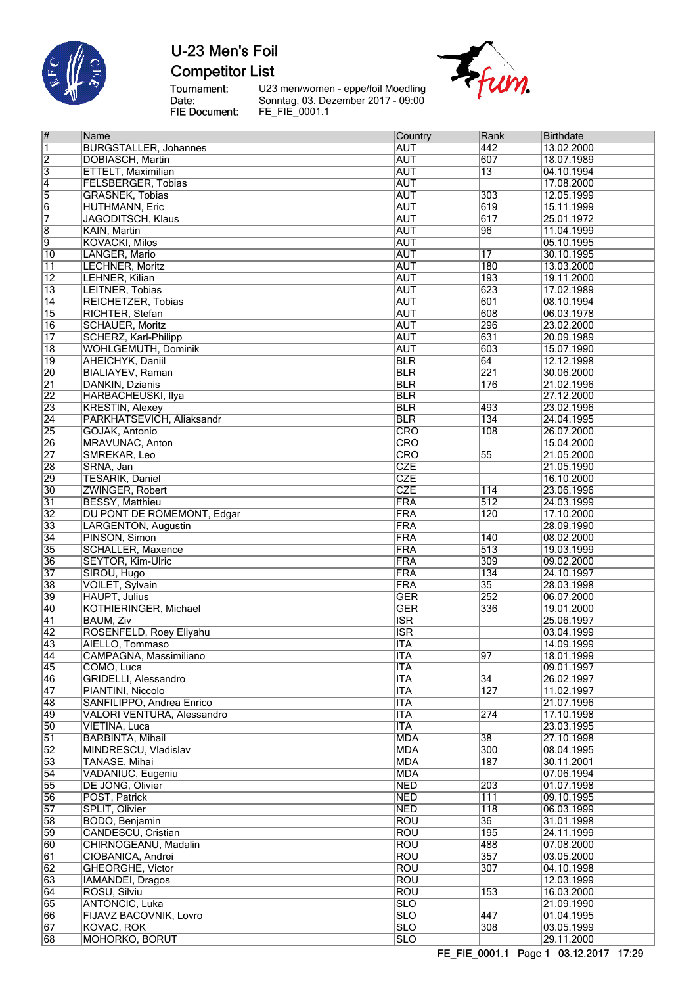

# U-23 Men's Foil **Competitor List**

Tournament:<br>Date:<br>FIE Document:

U23 men/women - eppe/foil Moedling Sonntag, 03. Dezember 2017 - 09:00 FE\_FIE\_0001.1



| $\vert \#$              | Name                         | Country                 | Rank             | <b>Birthdate</b> |
|-------------------------|------------------------------|-------------------------|------------------|------------------|
| $\overline{\mathbf{1}}$ | <b>BURGSTALLER, Johannes</b> | <b>AUT</b>              | 442              | 13.02.2000       |
| $\overline{2}$          | <b>DOBIASCH, Martin</b>      | <b>AUT</b>              | 607              | 18.07.1989       |
| $\overline{3}$          | ETTELT, Maximilian           | <b>AUT</b>              | $\overline{13}$  | 04.10.1994       |
| $\overline{4}$          | <b>FELSBERGER, Tobias</b>    | <b>AUT</b>              |                  | 17.08.2000       |
| $\overline{5}$          | <b>GRASNEK, Tobias</b>       | <b>AUT</b>              | 303              | 12.05.1999       |
| $\overline{6}$          | <b>HUTHMANN, Eric</b>        | <b>AUT</b>              | 619              | 15.11.1999       |
| 7                       | JAGODITSCH, Klaus            | <b>AUT</b>              | 617              | 25.01.1972       |
| $\overline{8}$          | KAIN, Martin                 | <b>AUT</b>              | 96               | 11.04.1999       |
| 9                       | <b>KOVACKI, Milos</b>        | <b>AUT</b>              |                  | 05.10.1995       |
| 10                      | LANGER, Mario                | <b>AUT</b>              | 17               | 30.10.1995       |
| $\overline{11}$         | <b>LECHNER, Moritz</b>       | <b>AUT</b>              | 180              | 13.03.2000       |
| $\overline{12}$         | LEHNER, Kilian               | <b>AUT</b>              | 193              | 19.11.2000       |
| $\overline{13}$         | LEITNER, Tobias              | <b>AUT</b>              | 623              | 17.02.1989       |
| 14                      | REICHETZER, Tobias           | <b>AUT</b>              | 601              | 08.10.1994       |
| 15                      | RICHTER, Stefan              | <b>AUT</b>              | 608              | 06.03.1978       |
|                         |                              |                         |                  |                  |
| $\overline{16}$         | <b>SCHAUER, Moritz</b>       | <b>AUT</b>              | 296              | 23.02.2000       |
| $\overline{17}$         | <b>SCHERZ, Karl-Philipp</b>  | <b>AUT</b>              | 631              | 20.09.1989       |
| $\overline{18}$         | <b>WOHLGEMUTH, Dominik</b>   | <b>AUT</b>              | 603              | 15.07.1990       |
| $\overline{19}$         | AHEICHYK, Daniil             | <b>BLR</b>              | 64               | 12.12.1998       |
| $\overline{20}$         | <b>BIALIAYEV, Raman</b>      | <b>BLR</b>              | 221              | 30.06.2000       |
| $\overline{21}$         | DANKIN, Dzianis              | <b>BLR</b>              | 176              | 21.02.1996       |
| $\overline{22}$         | <b>HARBACHEUSKI, Ilya</b>    | <b>BLR</b>              |                  | 27.12.2000       |
| 23                      | <b>KRESTIN, Alexey</b>       | <b>BLR</b>              | 493              | 23.02.1996       |
| $\overline{24}$         | PARKHATSEVICH, Aliaksandr    | <b>BLR</b>              | 134              | 24.04.1995       |
| 25                      | GOJAK, Antonio               | $\overline{\text{CRO}}$ | 108              | 26.07.2000       |
| 26                      | MRAVUNAC, Anton              | CRO                     |                  | 15.04.2000       |
| $\overline{27}$         | SMREKAR, Leo                 | <b>CRO</b>              | 55               | 21.05.2000       |
| 28                      | SRNA, Jan                    | <b>CZE</b>              |                  | 21.05.1990       |
| 29                      | <b>TESARIK, Daniel</b>       | <b>CZE</b>              |                  | 16.10.2000       |
| 30                      | ZWINGER, Robert              | <b>CZE</b>              | 114              | 23.06.1996       |
| $\overline{31}$         | <b>BESSY, Matthieu</b>       | <b>FRA</b>              | 512              | 24.03.1999       |
| $\overline{32}$         | DU PONT DE ROMEMONT, Edgar   | <b>FRA</b>              | 120              | 17.10.2000       |
| 33                      | <b>LARGENTON, Augustin</b>   | <b>FRA</b>              |                  | 28.09.1990       |
| $\overline{34}$         | PINSON, Simon                | FRA                     | 140              | 08.02.2000       |
| 35                      | <b>SCHALLER, Maxence</b>     | <b>FRA</b>              | 513              | 19.03.1999       |
| 36                      | <b>SEYTOR, Kim-Ulric</b>     | <b>FRA</b>              | 309              | 09.02.2000       |
| $\overline{37}$         | SIROU, Hugo                  | FRA                     | 134              | 24.10.1997       |
| 38                      | VOILET, Sylvain              | <b>FRA</b>              | $\overline{35}$  | 28.03.1998       |
| 39                      | <b>HAUPT, Julius</b>         | <b>GER</b>              | 252              | 06.07.2000       |
| 40                      | KOTHIERINGER, Michael        | <b>GER</b>              | 336              | 19.01.2000       |
| $\overline{41}$         | <b>BAUM, Ziv</b>             | $\overline{\text{ISR}}$ |                  | 25.06.1997       |
| 42                      | ROSENFELD, Roey Eliyahu      | $\overline{\text{ISR}}$ |                  | 03.04.1999       |
| 43                      | AIELLO, Tommaso              | <b>ITA</b>              |                  | 14.09.1999       |
| 44                      | CAMPAGNA, Massimiliano       | ITA                     | 97               | 18.01.1999       |
| 45                      | COMO, Luca                   | <b>ITA</b>              |                  | 09.01.1997       |
| 46                      | GRIDELLI, Alessandro         | <b>ITA</b>              | $\overline{34}$  | 26.02.1997       |
| 47                      | PIANTINI, Niccolo            | <b>ITA</b>              | 127              | 11.02.1997       |
| 48                      | SANFILIPPO, Andrea Enrico    | <b>ITA</b>              |                  | 21.07.1996       |
| 49                      | VALORI VENTURA, Alessandro   | <b>ITA</b>              | $\overline{274}$ | 17.10.1998       |
| 50                      | <b>VIETINA, Luca</b>         | <b>ITA</b>              |                  | 23.03.1995       |
| $\overline{51}$         | <b>BARBINTA, Mihail</b>      | <b>MDA</b>              | 38               | 27.10.1998       |
| $\overline{52}$         | MINDRESCU, Vladislav         | <b>MDA</b>              | 300              | 08.04.1995       |
| 53                      | TANASE, Mihai                | <b>MDA</b>              | 187              | 30.11.2001       |
| $\overline{54}$         | VADANIUC, Eugeniu            | <b>MDA</b>              |                  | 07.06.1994       |
| 55                      | DE JONG, Olivier             | <b>NED</b>              | 203              | 01.07.1998       |
| 56                      | POST, Patrick                | <b>NED</b>              | 111              | 09.10.1995       |
| $\overline{57}$         | SPLIT, Olivier               | <b>NED</b>              | $\overline{118}$ | 06.03.1999       |
| 58                      | BODO, Benjamin               | <b>ROU</b>              | 36               | 31.01.1998       |
| 59                      | <b>CANDESCU, Cristian</b>    | <b>ROU</b>              | 195              | 24.11.1999       |
| 60                      | CHIRNOGEANU, Madalin         | <b>ROU</b>              | 488              | 07.08.2000       |
| $\overline{61}$         | CIOBANICA, Andrei            | <b>ROU</b>              | 357              | 03.05.2000       |
| $\overline{62}$         | GHEORGHE, Victor             | <b>ROU</b>              | 307              | 04.10.1998       |
| 63                      | IAMANDEI, Dragos             | <b>ROU</b>              |                  | 12.03.1999       |
| $\overline{64}$         | ROSU, Silviu                 | <b>ROU</b>              | 153              | 16.03.2000       |
| 65                      | <b>ANTONCIC, Luka</b>        | <b>SLO</b>              |                  | 21.09.1990       |
| 66                      | FIJAVZ BACOVNIK, Lovro       | $\overline{\text{SLO}}$ | 447              | 01.04.1995       |
| $\overline{67}$         | <b>KOVAC, ROK</b>            | $\overline{\text{SLO}}$ | 308              | 03.05.1999       |
| 68                      | <b>MOHORKO, BORUT</b>        | $\overline{\text{SLO}}$ |                  | 29.11.2000       |
|                         |                              |                         |                  |                  |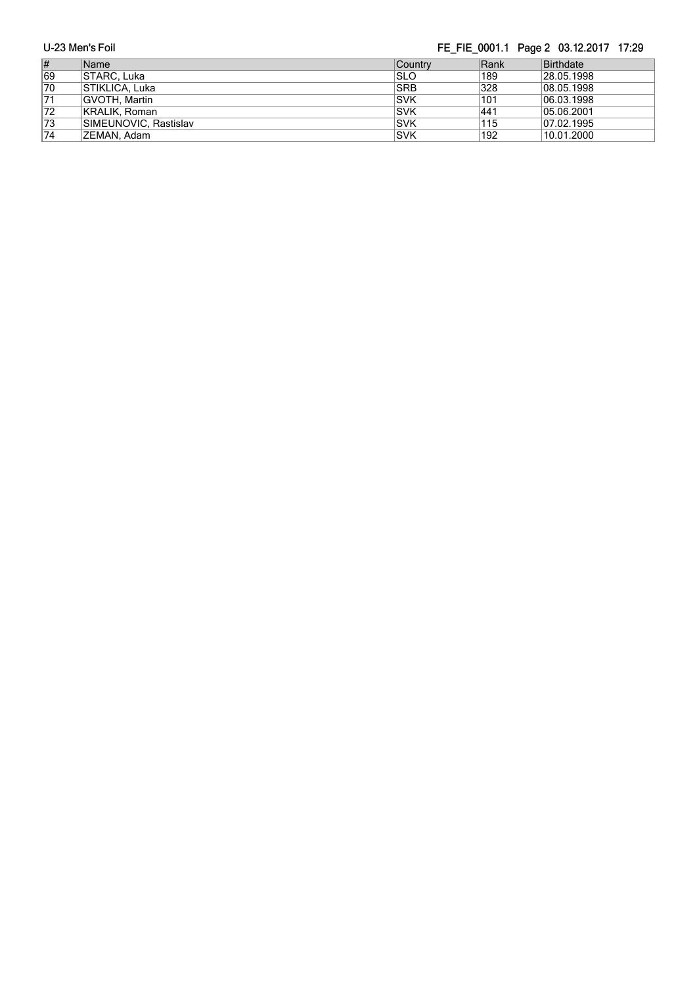|                 | U-23 Men's Foil       |                |      | FE FIE 0001.1 Page 2 03.12.2017 17:29 |
|-----------------|-----------------------|----------------|------|---------------------------------------|
| #               | Name                  | <b>Country</b> | Rank | Birthdate                             |
| 69              | STARC, Luka           | ISLO           | 189  | 28.05.1998                            |
| 70              | <b>STIKLICA, Luka</b> | <b>SRB</b>     | 328  | 08.05.1998                            |
| $\overline{71}$ | GVOTH, Martin         | <b>ISVK</b>    | 101  | 06.03.1998                            |
| $ 72\rangle$    | KRALIK, Roman         | <b>ISVK</b>    | 441  | 05.06.2001                            |
| 73              | SIMEUNOVIC, Rastislav | <b>ISVK</b>    | 115  | 07.02.1995                            |
| $\overline{74}$ | ZEMAN, Adam           | <b>ISVK</b>    | 192  | 10.01.2000                            |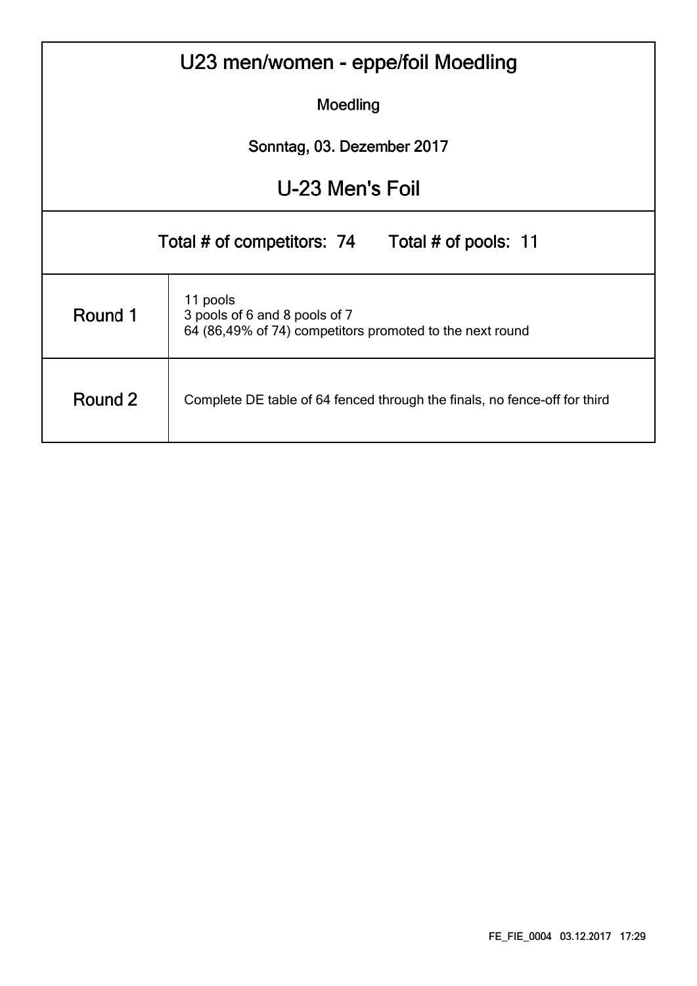| U23 men/women - eppe/foil Moedling                                                   |                                                                                                       |  |  |  |  |  |  |  |  |  |  |  |  |
|--------------------------------------------------------------------------------------|-------------------------------------------------------------------------------------------------------|--|--|--|--|--|--|--|--|--|--|--|--|
|                                                                                      | Moedling                                                                                              |  |  |  |  |  |  |  |  |  |  |  |  |
|                                                                                      | Sonntag, 03. Dezember 2017                                                                            |  |  |  |  |  |  |  |  |  |  |  |  |
| U-23 Men's Foil                                                                      |                                                                                                       |  |  |  |  |  |  |  |  |  |  |  |  |
| Total # of competitors: 74 Total # of pools: 11                                      |                                                                                                       |  |  |  |  |  |  |  |  |  |  |  |  |
| Round 1                                                                              | 11 pools<br>3 pools of 6 and 8 pools of 7<br>64 (86,49% of 74) competitors promoted to the next round |  |  |  |  |  |  |  |  |  |  |  |  |
| Round 2<br>Complete DE table of 64 fenced through the finals, no fence-off for third |                                                                                                       |  |  |  |  |  |  |  |  |  |  |  |  |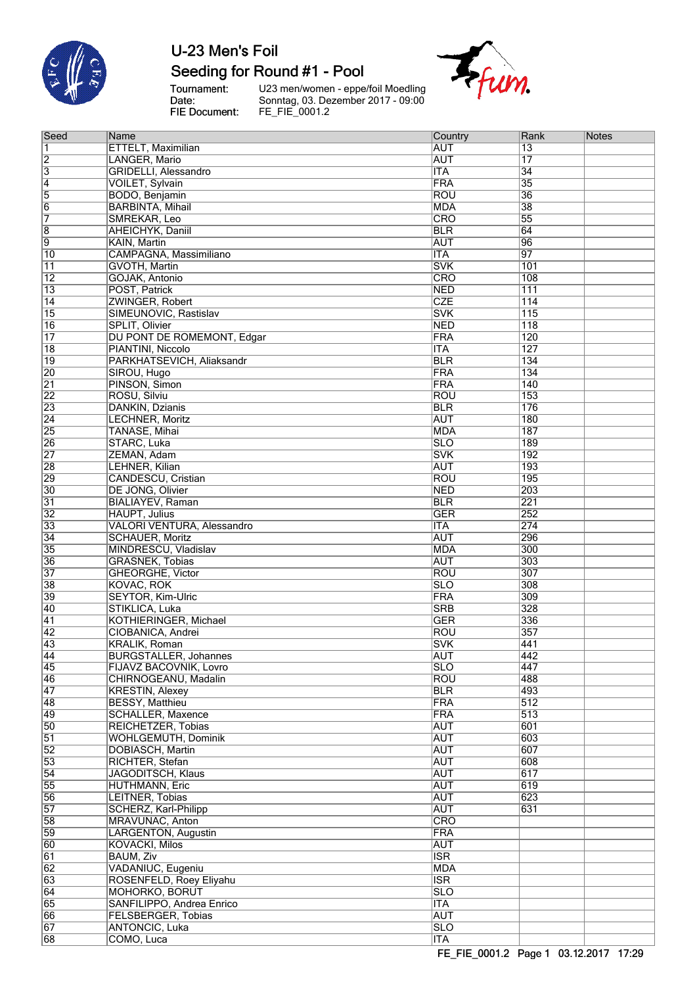

### Seeding for Round #1 - Pool

Tournament:<br>Date:<br>FIE Document:

U23 men/women - eppe/foil Moedling<br>Sonntag, 03. Dezember 2017 - 09:00<br>FE\_FIE\_0001.2



| Seed            | Name                         | Country                   | Rank             | Notes |
|-----------------|------------------------------|---------------------------|------------------|-------|
| 1               | <b>ETTELT, Maximilian</b>    | <b>AUT</b>                | $\overline{13}$  |       |
| $\overline{2}$  | LANGER, Mario                | <b>AUT</b>                | 17               |       |
|                 | <b>GRIDELLI, Alessandro</b>  |                           | $\overline{34}$  |       |
| 3               |                              | $\overline{\mathsf{ITA}}$ |                  |       |
| $\overline{4}$  | <b>VOILET, Sylvain</b>       | FRA                       | $\overline{35}$  |       |
| $\overline{5}$  | BODO, Benjamin               | <b>ROU</b>                | $\overline{36}$  |       |
| $\overline{6}$  | <b>BARBINTA, Mihail</b>      | <b>MDA</b>                | $\overline{38}$  |       |
| 7               | SMREKAR, Leo                 | <b>CRO</b>                | $\overline{55}$  |       |
| $\overline{8}$  | AHEICHYK, Daniil             | <b>BLR</b>                | 64               |       |
|                 |                              |                           |                  |       |
| $\overline{9}$  | KAIN, Martin                 | <b>AUT</b>                | 96               |       |
| $\overline{10}$ | CAMPAGNA, Massimiliano       | <b>ITA</b>                | 97               |       |
| 11              | GVOTH, Martin                | <b>SVK</b>                | 101              |       |
| $\overline{12}$ | <b>GOJAK, Antonio</b>        | <b>CRO</b>                | 108              |       |
| $\overline{13}$ | POST, Patrick                | <b>NED</b>                | 111              |       |
| $\overline{14}$ | ZWINGER, Robert              | <b>CZE</b>                | 114              |       |
|                 |                              |                           |                  |       |
| 15              | SIMEUNOVIC, Rastislav        | <b>SVK</b>                | $\overline{115}$ |       |
| $\overline{16}$ | SPLIT, Olivier               | <b>NED</b>                | $\overline{118}$ |       |
| $\overline{17}$ | DU PONT DE ROMEMONT, Edgar   | FRA                       | 120              |       |
| $\overline{18}$ | PIANTINI, Niccolo            | <b>ITA</b>                | 127              |       |
| $\overline{19}$ | PARKHATSEVICH, Aliaksandr    | <b>BLR</b>                | 134              |       |
| 20              | SIROU, Hugo                  | FRA                       | 134              |       |
|                 |                              |                           |                  |       |
| $\overline{21}$ | PINSON, Simon                | FRA                       | 140              |       |
| $\overline{22}$ | ROSU, Silviu                 | ROU                       | 153              |       |
| 23              | DANKIN, Dzianis              | <b>BLR</b>                | 176              |       |
| $\overline{24}$ | <b>LECHNER, Moritz</b>       | <b>AUT</b>                | 180              |       |
| $\overline{25}$ | TANASE, Mihai                | <b>MDA</b>                | 187              |       |
|                 |                              |                           | 189              |       |
| 26              | STARC, Luka                  | <b>SLO</b>                |                  |       |
| $\overline{27}$ | ZEMAN, Adam                  | <b>SVK</b>                | 192              |       |
| 28              | LEHNER, Kilian               | <b>AUT</b>                | 193              |       |
| 29              | <b>CANDESCU, Cristian</b>    | ROU                       | 195              |       |
| $\overline{30}$ | DE JONG, Olivier             | <b>NED</b>                | 203              |       |
| $\overline{31}$ | <b>BIALIAYEV, Raman</b>      | <b>BLR</b>                | $\overline{221}$ |       |
|                 |                              |                           |                  |       |
| $\overline{32}$ | <b>HAUPT, Julius</b>         | <b>GER</b>                | 252              |       |
| 33              | VALORI VENTURA, Alessandro   | <b>ITA</b>                | 274              |       |
| $\overline{34}$ | <b>SCHAUER, Moritz</b>       | <b>AUT</b>                | 296              |       |
| 35              | MINDRESCU, Vladislav         | <b>MDA</b>                | 300              |       |
| 36              | <b>GRASNEK, Tobias</b>       | <b>AUT</b>                | 303              |       |
| $\overline{37}$ |                              |                           | 307              |       |
|                 | GHEORGHE, Victor             | ROU                       |                  |       |
| 38              | <b>KOVAC, ROK</b>            | <b>SLO</b>                | 308              |       |
| 39              | <b>SEYTOR, Kim-Ulric</b>     | FRA                       | 309              |       |
| 40              | STIKLICA, Luka               | <b>SRB</b>                | $\overline{328}$ |       |
| 41              | KOTHIERINGER, Michael        | <b>GER</b>                | 336              |       |
| $\overline{42}$ | CIOBANICA, Andrei            | ROU                       | 357              |       |
| 43              | <b>KRALIK, Roman</b>         |                           |                  |       |
|                 |                              | <b>SVK</b>                | 441              |       |
| $\overline{44}$ | <b>BURGSTALLER, Johannes</b> | <b>AUT</b>                | 442              |       |
| 45              | FIJAVZ BACOVNIK, Lovro       | SLO                       | 447              |       |
| 46              | CHIRNOGEANU, Madalin         | <b>ROU</b>                | 488              |       |
| 47              | <b>KRESTIN, Alexey</b>       | <b>BLR</b>                | 493              |       |
| 48              | <b>BESSY, Matthieu</b>       | FRA                       | $\overline{512}$ |       |
| 49              | SCHALLER, Maxence            | FRA                       | $\overline{513}$ |       |
|                 |                              |                           |                  |       |
| 50              | REICHETZER, Tobias           | <b>AUT</b>                | 601              |       |
| $\overline{51}$ | <b>WOHLGEMUTH, Dominik</b>   | <b>AUT</b>                | 603              |       |
| $\overline{52}$ | DOBIASCH, Martin             | <b>AUT</b>                | 607              |       |
| 53              | RICHTER, Stefan              | <b>AUT</b>                | 608              |       |
| 54              | <b>JAGODITSCH, Klaus</b>     | <b>AUT</b>                | 617              |       |
| 55              | <b>HUTHMANN, Eric</b>        | <b>AUT</b>                | 619              |       |
|                 |                              |                           | 623              |       |
| 56              | LEITNER, Tobias              | <b>AUT</b>                |                  |       |
| $\overline{57}$ | SCHERZ, Karl-Philipp         | <b>AUT</b>                | 631              |       |
| 58              | MRAVUNAC, Anton              | <b>CRO</b>                |                  |       |
| 59              | LARGENTON, Augustin          | FRA                       |                  |       |
| 60              | <b>KOVACKI, Milos</b>        | <b>AUT</b>                |                  |       |
| 61              | BAUM, Ziv                    | <b>ISR</b>                |                  |       |
|                 |                              |                           |                  |       |
| 62              | VADANIUC, Eugeniu            | <b>MDA</b>                |                  |       |
| 63              | ROSENFELD, Roey Eliyahu      | <b>ISR</b>                |                  |       |
| 64              | <b>MOHORKO, BORUT</b>        | SLO                       |                  |       |
| 65              | SANFILIPPO, Andrea Enrico    | <b>ITA</b>                |                  |       |
| 66              | <b>FELSBERGER, Tobias</b>    | <b>AUT</b>                |                  |       |
| 67              | <b>ANTONCIC, Luka</b>        |                           |                  |       |
|                 |                              | <b>SLO</b>                |                  |       |
| 68              | COMO, Luca                   | $\overline{\mathsf{ITA}}$ |                  |       |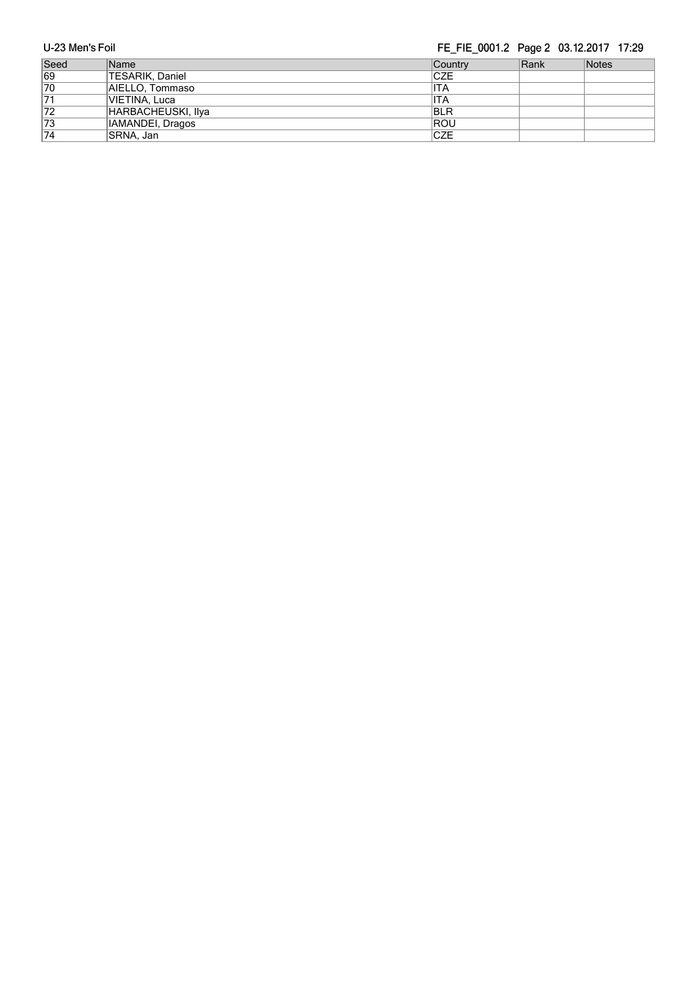FE FIE 0001.2 Page 2 03.12.2017 17:29

| U-23 Men's Foil |                    | FE FIE 0001.2 Page 2 03.12.2017 17:29 |      |       |  |  |  |  |  |  |
|-----------------|--------------------|---------------------------------------|------|-------|--|--|--|--|--|--|
| Seed            | Name               | <b>Country</b>                        | Rank | Notes |  |  |  |  |  |  |
| 69              | TESARIK, Daniel    | <b>CZE</b>                            |      |       |  |  |  |  |  |  |
| 70              | AIELLO, Tommaso    | IITA                                  |      |       |  |  |  |  |  |  |
| $\overline{71}$ | VIETINA, Luca      | ITA                                   |      |       |  |  |  |  |  |  |
| 72              | HARBACHEUSKI, Ilya | <b>BLR</b>                            |      |       |  |  |  |  |  |  |
| 73              | IAMANDEI, Dragos   | <b>ROU</b>                            |      |       |  |  |  |  |  |  |
| 74              | SRNA. Jan          | <b>CZE</b>                            |      |       |  |  |  |  |  |  |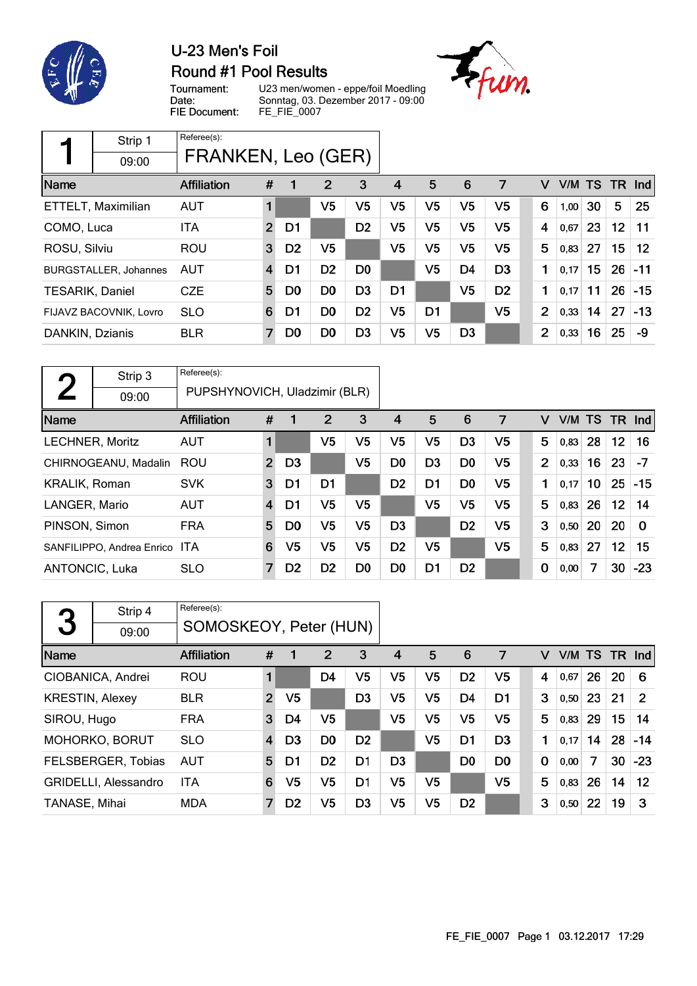

## U-23 Men's Foil **Round #1 Pool Results**

Tournament: Date: FIE Document: U23 men/women - eppe/foil Moedling Sonntag, 03. Dezember 2017 - 09:00 FE\_FIE\_0007



|                        | Strip 1                      | Referee(s):        |                |                |                |                |                |                |                |                |                |        |    |     |                   |
|------------------------|------------------------------|--------------------|----------------|----------------|----------------|----------------|----------------|----------------|----------------|----------------|----------------|--------|----|-----|-------------------|
|                        | 09:00                        | FRANKEN, Leo (GER) |                |                |                |                |                |                |                |                |                |        |    |     |                   |
| Name                   |                              | <b>Affiliation</b> | #              |                | $\overline{2}$ | 3              | 4              | 5              | 6              | 7              | v              | V/M TS |    | TR. | $\lfloor$ lnd     |
|                        | ETTELT, Maximilian           | <b>AUT</b>         | 1              |                | V <sub>5</sub> | V5             | V <sub>5</sub> | V <sub>5</sub> | V <sub>5</sub> | V <sub>5</sub> | 6              | 1,00   | 30 | 5   | 25                |
| COMO, Luca             |                              | <b>ITA</b>         | $\overline{2}$ | D1             |                | D <sub>2</sub> | V <sub>5</sub> | V <sub>5</sub> | V <sub>5</sub> | V <sub>5</sub> | 4              | 0,67   | 23 | 12  | 11                |
| ROSU, Silviu           |                              | <b>ROU</b>         | 3              | D <sub>2</sub> | V <sub>5</sub> |                | V <sub>5</sub> | V <sub>5</sub> | V <sub>5</sub> | V <sub>5</sub> | 5              | 0,83   | 27 | 15  | $12 \overline{ }$ |
|                        | <b>BURGSTALLER, Johannes</b> | <b>AUT</b>         | 4              | D1             | D <sub>2</sub> | D <sub>0</sub> |                | V <sub>5</sub> | D <sub>4</sub> | D <sub>3</sub> | 1              | 0,17   | 15 | 26  | $-11$             |
| <b>TESARIK, Daniel</b> |                              | <b>CZE</b>         | 5              | D <sub>0</sub> | D <sub>0</sub> | D <sub>3</sub> | D1             |                | V <sub>5</sub> | D <sub>2</sub> | 1              | 0.17   | 11 | 26  | $-15$             |
|                        | FIJAVZ BACOVNIK, Lovro       | <b>SLO</b>         | 6              | D1             | D <sub>0</sub> | D <sub>2</sub> | V <sub>5</sub> | D <sub>1</sub> |                | V <sub>5</sub> | 2              | 0,33   | 14 | 27  | $-13$             |
| DANKIN, Dzianis        |                              | <b>BLR</b>         | $\overline{7}$ | D <sub>0</sub> | D0             | D <sub>3</sub> | V <sub>5</sub> | V <sub>5</sub> | D <sub>3</sub> |                | $\overline{2}$ | 0,33   | 16 | 25  | -9                |

| $\mathbf{\Omega}$      | Strip 3                   | Referee(s):                   |                |                |                |                |                |                |                |                |                |        |    |                 |          |
|------------------------|---------------------------|-------------------------------|----------------|----------------|----------------|----------------|----------------|----------------|----------------|----------------|----------------|--------|----|-----------------|----------|
|                        | 09:00                     | PUPSHYNOVICH, Uladzimir (BLR) |                |                |                |                |                |                |                |                |                |        |    |                 |          |
| Name                   |                           | Affiliation                   | #              |                | $\overline{2}$ | 3              | 4              | 5              | 6              | 7              | v              | V/M TS |    | TR.             | Ind      |
| <b>LECHNER, Moritz</b> |                           | <b>AUT</b>                    | 1              |                | V5             | V5             | V5             | V <sub>5</sub> | D <sub>3</sub> | V <sub>5</sub> | 5              | 0,83   | 28 | 12              | 16       |
|                        | CHIRNOGEANU, Madalin      | ROU                           | $\overline{2}$ | D <sub>3</sub> |                | V5             | D <sub>0</sub> | D <sub>3</sub> | D <sub>0</sub> | V <sub>5</sub> | $\overline{2}$ | 0,33   | 16 | 23              | $-7$     |
| <b>KRALIK, Roman</b>   |                           | <b>SVK</b>                    | 3              | D <sub>1</sub> | D <sub>1</sub> |                | D <sub>2</sub> | D <sub>1</sub> | D <sub>0</sub> | V <sub>5</sub> | 1              | 0,17   | 10 | 25              | $-15$    |
| LANGER, Mario          |                           | <b>AUT</b>                    | $\overline{4}$ | D1             | V5             | V5             |                | V5             | V <sub>5</sub> | V <sub>5</sub> | 5              | 0,83   | 26 | 12 <sub>2</sub> | 14       |
| PINSON, Simon          |                           | <b>FRA</b>                    | 5              | D <sub>0</sub> | V5             | V5             | D <sub>3</sub> |                | D <sub>2</sub> | V5             | 3              | 0,50   | 20 | 20              | $\Omega$ |
|                        | SANFILIPPO, Andrea Enrico | <b>ITA</b>                    | 6              | V5             | V5             | V5             | D <sub>2</sub> | V <sub>5</sub> |                | V <sub>5</sub> | 5              | 0,83   | 27 | 12              | 15       |
| <b>ANTONCIC, Luka</b>  |                           | <b>SLO</b>                    | 7              | D <sub>2</sub> | D <sub>2</sub> | D <sub>0</sub> | D <sub>0</sub> | D <sub>1</sub> | D <sub>2</sub> |                | $\mathbf 0$    | 0,00   | 7  | 30              | $-23$    |

|                        | Strip 4              | Referee(s):            |                |                |                |                |                |                |                |                |   |        |    |        |              |
|------------------------|----------------------|------------------------|----------------|----------------|----------------|----------------|----------------|----------------|----------------|----------------|---|--------|----|--------|--------------|
| 3                      | 09:00                | SOMOSKEOY, Peter (HUN) |                |                |                |                |                |                |                |                |   |        |    |        |              |
| Name                   |                      | <b>Affiliation</b>     | #              | 1              | 2              | 3              | 4              | 5              | 6              | 7              | v | V/M TS |    | TR Ind |              |
|                        | CIOBANICA, Andrei    | ROU                    |                |                | D4             | V5             | V5             | V <sub>5</sub> | D <sub>2</sub> | V <sub>5</sub> | 4 | 0,67   | 26 | 20     | 6            |
| <b>KRESTIN, Alexey</b> |                      | <b>BLR</b>             | $\overline{2}$ | V <sub>5</sub> |                | D <sub>3</sub> | V5             | V <sub>5</sub> | D <sub>4</sub> | D <sub>1</sub> | 3 | 0, 50  | 23 | 21     | $\mathcal P$ |
| SIROU, Hugo            |                      | <b>FRA</b>             | 3              | D4             | V <sub>5</sub> |                | V5             | V5             | V <sub>5</sub> | V5             | 5 | 0,83   | 29 | 15     | 14           |
|                        | MOHORKO, BORUT       | <b>SLO</b>             | 4              | D <sub>3</sub> | D <sub>0</sub> | D <sub>2</sub> |                | V <sub>5</sub> | D <sub>1</sub> | D <sub>3</sub> | 1 | 0,17   | 14 | 28     | $-14$        |
|                        | FELSBERGER, Tobias   | <b>AUT</b>             | 5              | D1             | D <sub>2</sub> | D <sub>1</sub> | D <sub>3</sub> |                | D <sub>0</sub> | D <sub>0</sub> | 0 | 0,00   | 7  | 30     | $-23$        |
|                        | GRIDELLI, Alessandro | <b>ITA</b>             | 6              | V5             | V5             | D1             | V5             | V5             |                | V5             | 5 | 0,83   | 26 | 14     | $12 \,$      |
| TANASE, Mihai          |                      | <b>MDA</b>             | 7              | D <sub>2</sub> | V5             | D <sub>3</sub> | V5             | V5             | D <sub>2</sub> |                | 3 | 0,50   | 22 | 19     | 3            |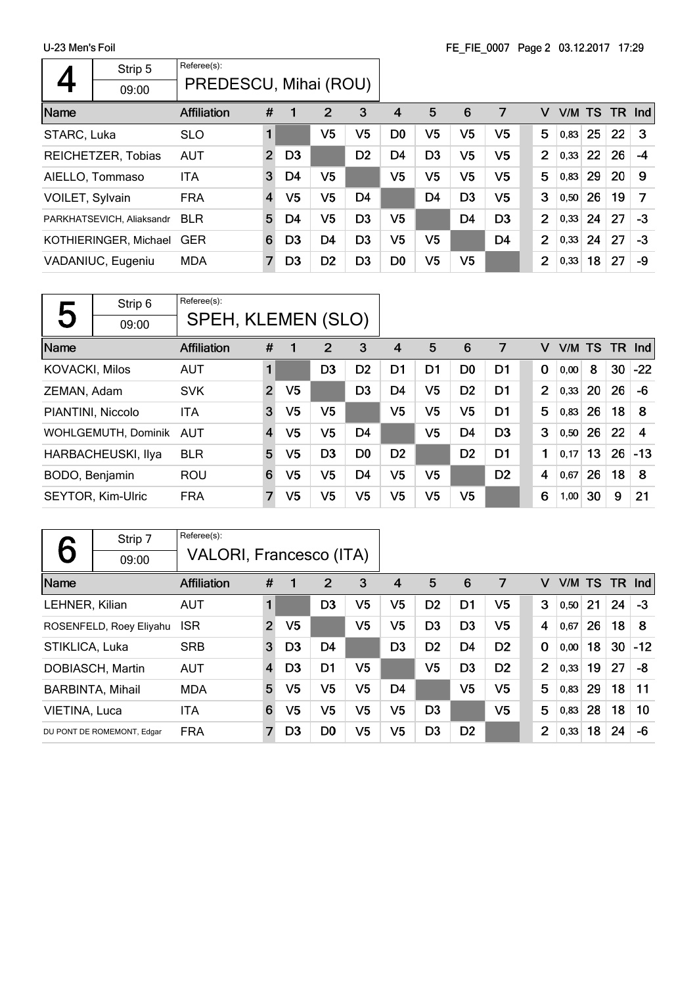|                 | Strip 5                   | Referee(s):           |                |                |                |                |                |                |                |                |                |        |    |        |    |
|-----------------|---------------------------|-----------------------|----------------|----------------|----------------|----------------|----------------|----------------|----------------|----------------|----------------|--------|----|--------|----|
|                 | 09:00                     | PREDESCU, Mihai (ROU) |                |                |                |                |                |                |                |                |                |        |    |        |    |
| Name            |                           | <b>Affiliation</b>    | #              | 1              | $\overline{2}$ | 3              | 4              | 5              | 6              | 7              | v              | V/M TS |    | TR Ind |    |
| STARC, Luka     |                           | <b>SLO</b>            |                |                | V5             | V5             | D <sub>0</sub> | V5             | V <sub>5</sub> | V5             | 5              | 0,83   | 25 | 22     | -3 |
|                 | REICHETZER, Tobias        | <b>AUT</b>            | $\overline{2}$ | D <sub>3</sub> |                | D <sub>2</sub> | D <sub>4</sub> | D <sub>3</sub> | V <sub>5</sub> | V5             | $\overline{2}$ | 0,33   | 22 | 26     | -4 |
|                 | AIELLO, Tommaso           | ITA                   | 3              | D4             | V <sub>5</sub> |                | V <sub>5</sub> | V5             | V <sub>5</sub> | V5             | 5              | 0,83   | 29 | 20     | 9  |
| VOILET, Sylvain |                           | <b>FRA</b>            | 4              | V5             | V <sub>5</sub> | D <sub>4</sub> |                | D <sub>4</sub> | D <sub>3</sub> | V <sub>5</sub> | 3              | 0,50   | 26 | 19     | 7  |
|                 | PARKHATSEVICH, Aliaksandr | <b>BLR</b>            | 5              | D4             | V <sub>5</sub> | D <sub>3</sub> | V <sub>5</sub> |                | D <sub>4</sub> | D <sub>3</sub> | $\overline{2}$ | 0,33   | 24 | 27     | -3 |
|                 | KOTHIERINGER, Michael     | <b>GER</b>            | 6              | D <sub>3</sub> | D <sub>4</sub> | D <sub>3</sub> | V5             | V <sub>5</sub> |                | D <sub>4</sub> | $\overline{2}$ | 0,33   | 24 | 27     | -3 |
|                 | VADANIUC, Eugeniu         | <b>MDA</b>            | 7              | D <sub>3</sub> | D <sub>2</sub> | D <sub>3</sub> | D <sub>0</sub> | V5             | V5             |                | $\overline{2}$ | 0,33   | 18 | 27     | -9 |

| 5                     | Strip 6                   | Referee(s):        |                |                |                |                |                |                |                |                |                |   |      |           |     |            |
|-----------------------|---------------------------|--------------------|----------------|----------------|----------------|----------------|----------------|----------------|----------------|----------------|----------------|---|------|-----------|-----|------------|
|                       | 09:00                     | SPEH, KLEMEN (SLO) |                |                |                |                |                |                |                |                |                |   |      |           |     |            |
| Name                  |                           | <b>Affiliation</b> | #              | 1              | 2              | 3              | 4              | 5              | 6              | 7              |                | v | V/M  | <b>TS</b> | TR. | <b>Ind</b> |
| <b>KOVACKI, Milos</b> |                           | <b>AUT</b>         | 1              |                | D <sub>3</sub> | D <sub>2</sub> | D1             | D <sub>1</sub> | D <sub>0</sub> | D1             | $\mathbf 0$    |   | 0,00 | 8         | 30  | $-22$      |
| ZEMAN, Adam           |                           | <b>SVK</b>         | $\overline{2}$ | V <sub>5</sub> |                | D <sub>3</sub> | D4             | V <sub>5</sub> | D <sub>2</sub> | D <sub>1</sub> | $\overline{2}$ |   | 0,33 | 20        | 26  | -6         |
| PIANTINI, Niccolo     |                           | <b>ITA</b>         | 3              | V <sub>5</sub> | V <sub>5</sub> |                | V <sub>5</sub> | V <sub>5</sub> | V <sub>5</sub> | D <sub>1</sub> |                | 5 | 0,83 | 26        | 18  | 8          |
|                       | WOHLGEMUTH, Dominik       | AUT                | $\overline{4}$ | V <sub>5</sub> | V <sub>5</sub> | D <sub>4</sub> |                | V <sub>5</sub> | D4             | D <sub>3</sub> | 3              |   | 0,50 | 26        | 22  | 4          |
|                       | <b>HARBACHEUSKI, Ilya</b> | <b>BLR</b>         | 5              | V <sub>5</sub> | D <sub>3</sub> | D <sub>0</sub> | D <sub>2</sub> |                | D <sub>2</sub> | D1             |                | 1 | 0.17 | 13        | 26  | $-13$      |
| BODO, Benjamin        |                           | <b>ROU</b>         | 6              | V5             | V5             | D <sub>4</sub> | V <sub>5</sub> | V5             |                | D <sub>2</sub> | 4              |   | 0,67 | 26        | 18  | 8          |
|                       | <b>SEYTOR, Kim-Ulric</b>  | <b>FRA</b>         | 7              | V5             | V5             | V5             | V <sub>5</sub> | V5             | V <sub>5</sub> |                | 6              |   | 1,00 | 30        | 9   | 21         |

|                | Strip 7                    | Referee(s):             |                |                |                |                |                |                |                |                |                |        |    |      |            |
|----------------|----------------------------|-------------------------|----------------|----------------|----------------|----------------|----------------|----------------|----------------|----------------|----------------|--------|----|------|------------|
| 6              | 09:00                      | VALORI, Francesco (ITA) |                |                |                |                |                |                |                |                |                |        |    |      |            |
| Name           |                            | <b>Affiliation</b>      | #              | -1             | 2              | 3              | $\overline{4}$ | 5              | 6              | 7              | v              | V/M TS |    | - TR | <b>Ind</b> |
| LEHNER, Kilian |                            | <b>AUT</b>              | $\blacksquare$ |                | D3             | V5             | V5             | D <sub>2</sub> | D1             | V5             | 3              | 0,50   | 21 | 24   | -3         |
|                | ROSENFELD, Roey Eliyahu    | <b>ISR</b>              | $\overline{2}$ | V <sub>5</sub> |                | V5             | V <sub>5</sub> | D <sub>3</sub> | D <sub>3</sub> | V <sub>5</sub> | 4              | 0,67   | 26 | 18   | 8          |
| STIKLICA, Luka |                            | <b>SRB</b>              | 3              | D <sub>3</sub> | D <sub>4</sub> |                | D3             | D <sub>2</sub> | D4             | D <sub>2</sub> | $\mathbf 0$    | 0,00   | 18 | 30   | $-12$      |
|                | DOBIASCH, Martin           | <b>AUT</b>              | $\overline{4}$ | D3             | D1             | V <sub>5</sub> |                | V5             | D <sub>3</sub> | D <sub>2</sub> | $\overline{2}$ | 0,33   | 19 | 27   | -8         |
|                | <b>BARBINTA, Mihail</b>    | <b>MDA</b>              | 5              | V5             | V <sub>5</sub> | V <sub>5</sub> | D4             |                | V <sub>5</sub> | V <sub>5</sub> | 5              | 0,83   | 29 | 18   | 11         |
| VIETINA, Luca  |                            | ITA                     | 6              | V5             | V <sub>5</sub> | V <sub>5</sub> | V <sub>5</sub> | D <sub>3</sub> |                | V <sub>5</sub> | 5              | 0,83   | 28 | 18   | 10         |
|                | DU PONT DE ROMEMONT, Edgar | <b>FRA</b>              | 7              | D3             | D <sub>0</sub> | V5             | V5             | D <sub>3</sub> | D <sub>2</sub> |                | $\overline{2}$ | 0,33   | 18 | 24   | -6         |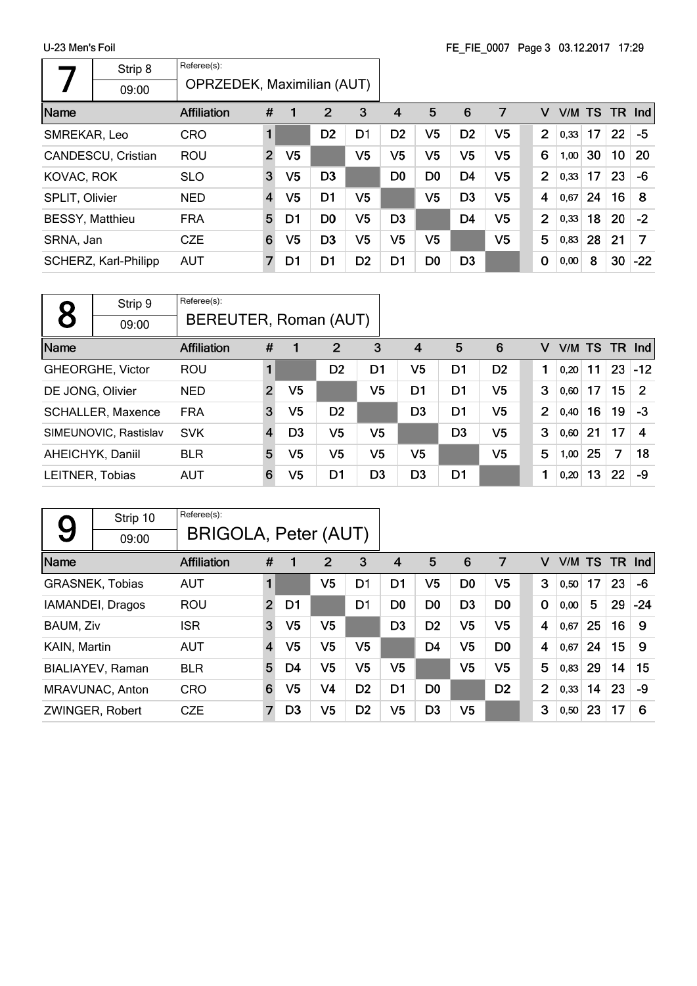r

|                        | Strip 8              | Referee(s):                |                |                |                |                |                |                |                |                |                |      |           |    |        |
|------------------------|----------------------|----------------------------|----------------|----------------|----------------|----------------|----------------|----------------|----------------|----------------|----------------|------|-----------|----|--------|
|                        | 09:00                | OPRZEDEK, Maximilian (AUT) |                |                |                |                |                |                |                |                |                |      |           |    |        |
| Name                   |                      | <b>Affiliation</b>         | #              |                | $\overline{2}$ | 3              | 4              | 5              | 6              | 7              | v              | V/M  | <b>TS</b> |    | TR Ind |
| SMREKAR, Leo           |                      | <b>CRO</b>                 |                |                | D <sub>2</sub> | D <sub>1</sub> | D <sub>2</sub> | V5             | D <sub>2</sub> | V <sub>5</sub> | $\overline{2}$ | 0,33 | 17        | 22 | -5     |
|                        | CANDESCU, Cristian   | <b>ROU</b>                 | $\overline{2}$ | V <sub>5</sub> |                | V5             | V5             | V5             | V <sub>5</sub> | V <sub>5</sub> | 6              | 1,00 | 30        | 10 | 20     |
| KOVAC, ROK             |                      | <b>SLO</b>                 | 3              | V <sub>5</sub> | D <sub>3</sub> |                | D <sub>0</sub> | D <sub>0</sub> | D <sub>4</sub> | V <sub>5</sub> | $\overline{2}$ | 0,33 | 17        | 23 | -6     |
| <b>SPLIT, Olivier</b>  |                      | <b>NED</b>                 | $\overline{4}$ | V5             | D <sub>1</sub> | V <sub>5</sub> |                | V5             | D <sub>3</sub> | V <sub>5</sub> | 4              | 0,67 | 24        | 16 | 8      |
| <b>BESSY, Matthieu</b> |                      | <b>FRA</b>                 | 5              | D1             | D <sub>0</sub> | V <sub>5</sub> | D <sub>3</sub> |                | D <sub>4</sub> | V <sub>5</sub> | $\overline{2}$ | 0,33 | 18        | 20 | $-2$   |
| SRNA, Jan              |                      | <b>CZE</b>                 | 6              | V5             | D <sub>3</sub> | V <sub>5</sub> | V <sub>5</sub> | V <sub>5</sub> |                | V <sub>5</sub> | 5              | 0,83 | 28        | 21 | 7      |
|                        | SCHERZ, Karl-Philipp | <b>AUT</b>                 | 7              | D1             | D <sub>1</sub> | D <sub>2</sub> | D1             | D <sub>0</sub> | D <sub>3</sub> |                | $\bf{0}$       | 0,00 | 8         | 30 | $-22$  |

|                  | Strip 9                  | Referee(s):        |                       |                |                |                |                |                |                |   |      |                 |    |       |  |
|------------------|--------------------------|--------------------|-----------------------|----------------|----------------|----------------|----------------|----------------|----------------|---|------|-----------------|----|-------|--|
| 8                | 09:00                    |                    | BEREUTER, Roman (AUT) |                |                |                |                |                |                |   |      |                 |    |       |  |
| Name             |                          | <b>Affiliation</b> | #                     |                | $\overline{2}$ | 3              | $\overline{4}$ | 5              | 6              | v |      | $V/M$ TS TR Ind |    |       |  |
|                  | GHEORGHE, Victor         | ROU                |                       |                | D <sub>2</sub> | D1             | V5             | D1             | D <sub>2</sub> |   | 0,20 | 11              | 23 | $-12$ |  |
| DE JONG, Olivier |                          | <b>NED</b>         | $\overline{2}$        | V5             |                | V5             | D1             | D1             | V5             | 3 | 0,60 | 17              | 15 | 2     |  |
|                  | <b>SCHALLER, Maxence</b> | <b>FRA</b>         | 3                     | V5             | D <sub>2</sub> |                | D <sub>3</sub> | D1             | V5             | 2 | 0,40 | 16              | 19 | -3    |  |
|                  | SIMEUNOVIC, Rastislav    | <b>SVK</b>         | $\overline{4}$        | D <sub>3</sub> | V <sub>5</sub> | V5             |                | D <sub>3</sub> | V <sub>5</sub> | 3 | 0,60 | 21              | 17 | 4     |  |
|                  | AHEICHYK, Daniil         | <b>BLR</b>         | 5                     | V5             | V <sub>5</sub> | V <sub>5</sub> | V <sub>5</sub> |                | V5             | 5 | 1,00 | 25              | 7  | 18    |  |
| LEITNER, Tobias  |                          | <b>AUT</b>         | 6                     | V5             | D1             | D <sub>3</sub> | D <sub>3</sub> | D <sub>1</sub> |                |   | 0,20 | 13              | 22 | -9    |  |

|              | Strip 10               | Referee(s):        |                      |                |                |                |                |                |                |                |                |      |           |           |       |
|--------------|------------------------|--------------------|----------------------|----------------|----------------|----------------|----------------|----------------|----------------|----------------|----------------|------|-----------|-----------|-------|
| 9            | 09:00                  |                    | BRIGOLA, Peter (AUT) |                |                |                |                |                |                |                |                |      |           |           |       |
| Name         |                        | <b>Affiliation</b> | #                    | 1              | $\overline{2}$ | 3              | 4              | 5              | 6              | 7              | v              | V/M  | <b>TS</b> | <b>TR</b> | Ind   |
|              | <b>GRASNEK, Tobias</b> | <b>AUT</b>         | 1                    |                | V <sub>5</sub> | D <sub>1</sub> | D1             | V5             | D <sub>0</sub> | V5             | 3              | 0.50 | 17        | 23        | -6    |
|              | IAMANDEI, Dragos       | <b>ROU</b>         | $\overline{2}$       | D1             |                | D <sub>1</sub> | D <sub>0</sub> | D <sub>0</sub> | D <sub>3</sub> | D <sub>0</sub> | $\mathbf 0$    | 0,00 | 5         | 29        | $-24$ |
| BAUM, Ziv    |                        | <b>ISR</b>         | 3                    | V <sub>5</sub> | V <sub>5</sub> |                | D <sub>3</sub> | D <sub>2</sub> | V <sub>5</sub> | V <sub>5</sub> | 4              | 0,67 | 25        | 16        | 9     |
| KAIN, Martin |                        | <b>AUT</b>         | $\overline{4}$       | V <sub>5</sub> | V <sub>5</sub> | V5             |                | D <sub>4</sub> | V <sub>5</sub> | D <sub>0</sub> | 4              | 0,67 | 24        | 15        | 9     |
|              | BIALIAYEV, Raman       | <b>BLR</b>         | 5                    | D4             | V <sub>5</sub> | V5             | V5             |                | V <sub>5</sub> | V5             | 5              | 0,83 | 29        | 14        | 15    |
|              | MRAVUNAC, Anton        | <b>CRO</b>         | 6                    | V5             | V4             | D <sub>2</sub> | D1             | D <sub>0</sub> |                | D <sub>2</sub> | $\overline{2}$ | 0,33 | 14        | 23        | -9    |
|              | ZWINGER, Robert        | <b>CZE</b>         | $\overline{7}$       | D <sub>3</sub> | V5             | D <sub>2</sub> | V5             | D <sub>3</sub> | V5             |                | 3              | 0,50 | 23        | 17        | 6     |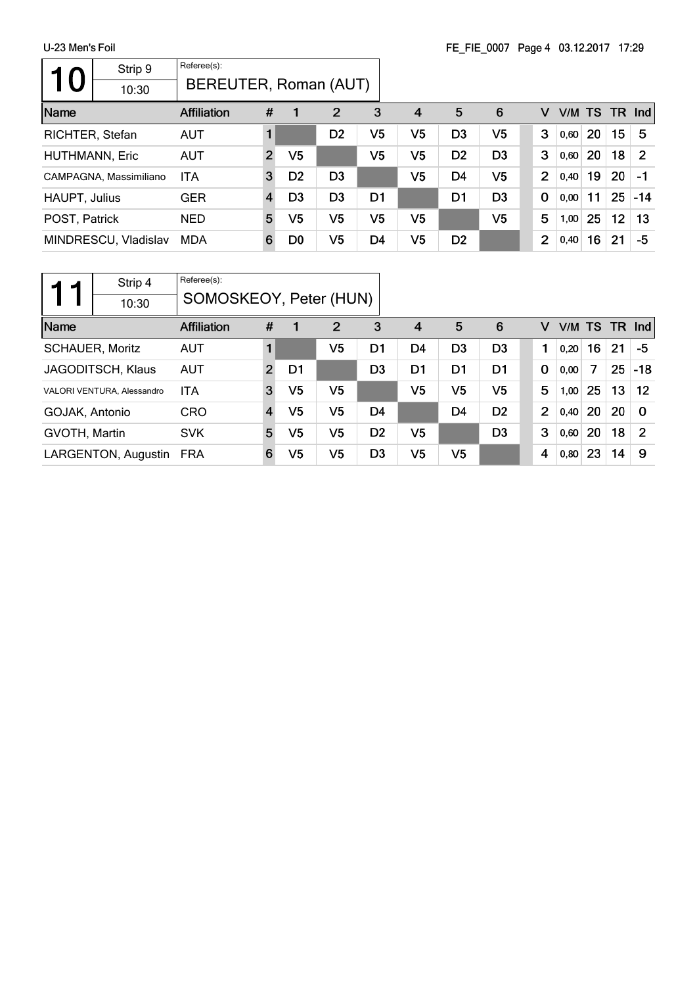| 10 <sub>1</sub>       | Strip 9                | Referee(s):           |                |                |                |                |                |                |                |                |      |        |    |                |
|-----------------------|------------------------|-----------------------|----------------|----------------|----------------|----------------|----------------|----------------|----------------|----------------|------|--------|----|----------------|
|                       | 10:30                  | BEREUTER, Roman (AUT) |                |                |                |                |                |                |                |                |      |        |    |                |
| Name                  |                        | <b>Affiliation</b>    | #              |                | $\overline{2}$ | 3              | $\overline{4}$ | 5              | 6              | v              |      | V/M TS |    | $TR$ Ind       |
| RICHTER, Stefan       |                        | <b>AUT</b>            |                |                | D <sub>2</sub> | V5             | V5             | D3             | V5             | 3              | 0,60 | 20     | 15 | -5             |
| <b>HUTHMANN, Eric</b> |                        | <b>AUT</b>            | $\overline{2}$ | V5             |                | V5             | V5             | D <sub>2</sub> | D <sub>3</sub> | 3              | 0,60 | 20     | 18 | $\overline{2}$ |
|                       | CAMPAGNA, Massimiliano | ITA                   | 3              | D <sub>2</sub> | D <sub>3</sub> |                | V5             | D <sub>4</sub> | V <sub>5</sub> | $\overline{2}$ | 0,40 | 19     | 20 | -1             |
| HAUPT, Julius         |                        | <b>GER</b>            | 4              | D <sub>3</sub> | D <sub>3</sub> | D <sub>1</sub> |                | D1             | D <sub>3</sub> | $\mathbf 0$    | 0,00 | 11     | 25 | $-14$          |
| POST, Patrick         |                        | <b>NED</b>            | 5              | V5             | V <sub>5</sub> | V <sub>5</sub> | V5             |                | V <sub>5</sub> | 5              | 1,00 | 25     | 12 | 13             |
|                       | MINDRESCU, Vladislav   | MDA                   | 6              | D <sub>0</sub> | V <sub>5</sub> | D <sub>4</sub> | V <sub>5</sub> | D <sub>2</sub> |                | $\overline{2}$ | 0,40 | 16     | 21 | -5             |

|                | Strip 4                    | Referee(s):        |                        |                |                |                |                |                |                |                |       |        |           |            |
|----------------|----------------------------|--------------------|------------------------|----------------|----------------|----------------|----------------|----------------|----------------|----------------|-------|--------|-----------|------------|
|                | 10:30                      |                    | SOMOSKEOY, Peter (HUN) |                |                |                |                |                |                |                |       |        |           |            |
| Name           |                            | <b>Affiliation</b> | #                      |                | 2              | 3              | $\overline{4}$ | 5              | 6              | v              |       | V/M TS | <b>TR</b> | <b>Ind</b> |
|                | <b>SCHAUER, Moritz</b>     | <b>AUT</b>         |                        |                | V5             | D <sub>1</sub> | D <sub>4</sub> | D <sub>3</sub> | D <sub>3</sub> | 1              | 0.20  | 16     | 21        | -5         |
|                | JAGODITSCH, Klaus          | <b>AUT</b>         | $\overline{2}$         | D1             |                | D <sub>3</sub> | D1             | D1             | D1             | 0              | 0,00  | 7      | 25        | $-18$      |
|                | VALORI VENTURA, Alessandro | <b>ITA</b>         | 3                      | V <sub>5</sub> | V <sub>5</sub> |                | V5             | V5             | V5             | 5              | 1,00  | 25     | 13        | 12         |
| GOJAK, Antonio |                            | <b>CRO</b>         | $\overline{4}$         | V <sub>5</sub> | V <sub>5</sub> | D <sub>4</sub> |                | D4             | D <sub>2</sub> | $\overline{2}$ | 0,40  | 20     | 20        | $\Omega$   |
| GVOTH, Martin  |                            | <b>SVK</b>         | 5                      | V5             | V <sub>5</sub> | D <sub>2</sub> | V <sub>5</sub> |                | D <sub>3</sub> | 3              | 0,60  | 20     | 18        | 2          |
|                | LARGENTON, Augustin        | <b>FRA</b>         | 6                      | V <sub>5</sub> | V <sub>5</sub> | D <sub>3</sub> | V5             | V5             |                | 4              | 0, 80 | 23     | 14        | 9          |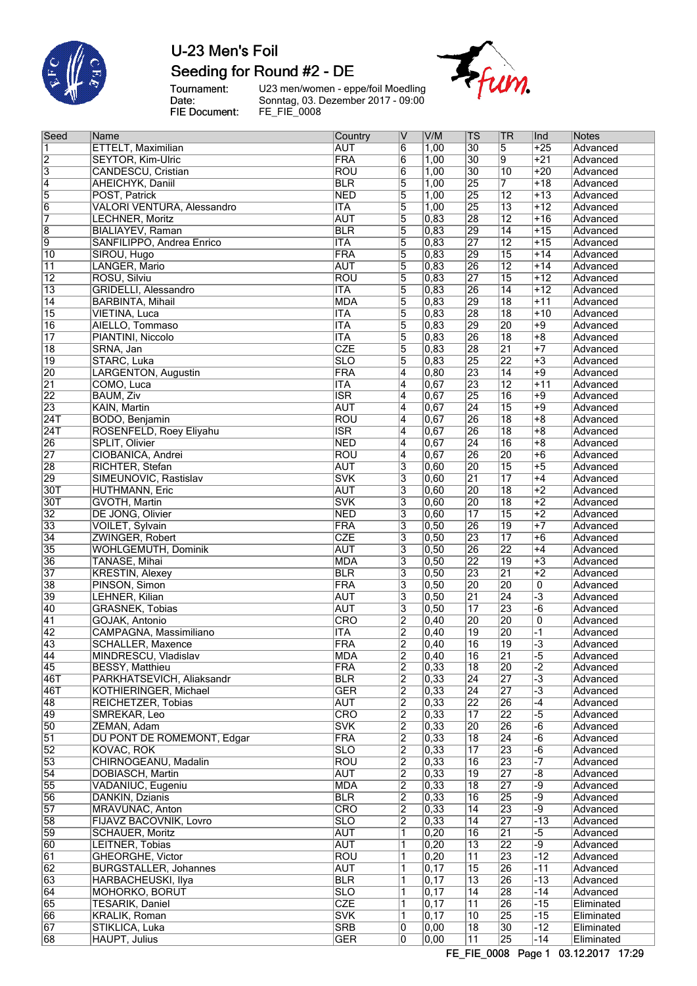

### U-23 Men's Foil Seeding for Round #2 - DE

Tournament: Date: FIE Document:

U23 men/women - eppe/foil Moedling Sonntag, 03. Dezember 2017 - 09:00 FE\_FIE\_0008

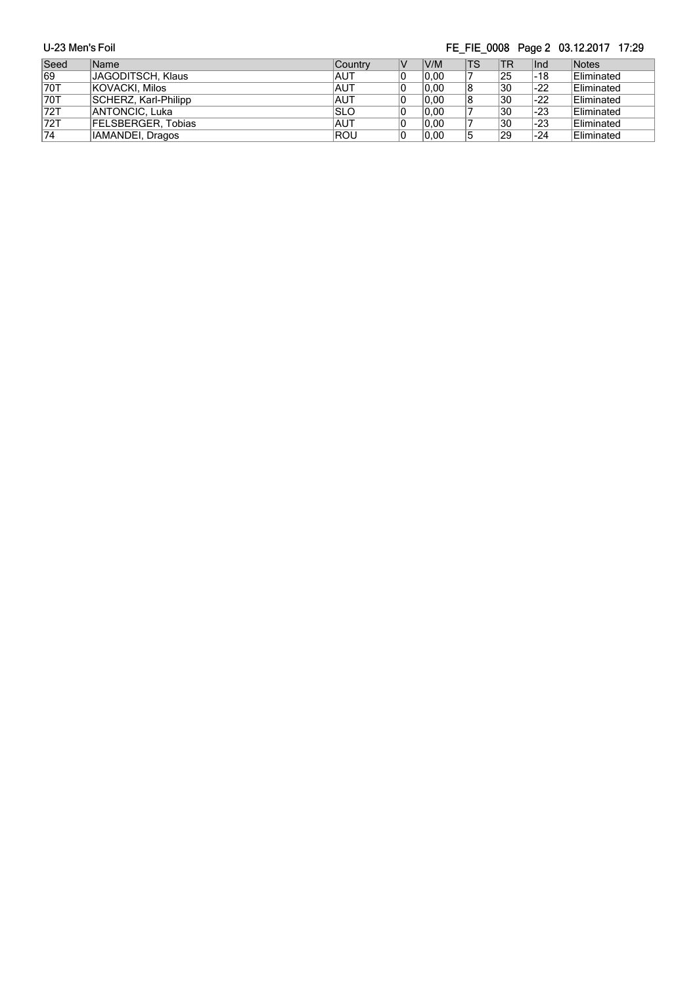| U-23 Men's Foil |                      |                | FE FIE 0008 Page 2 03.12.2017 17:29 |      |           |            |               |            |  |
|-----------------|----------------------|----------------|-------------------------------------|------|-----------|------------|---------------|------------|--|
| Seed            | Name                 | <b>Country</b> | V                                   | V/M  | <b>TS</b> | <b>ITR</b> | $\lfloor$ Ind | Notes      |  |
| 69              | JAGODITSCH, Klaus    | <b>AUT</b>     | 10                                  | 0.00 |           | 25         | -18           | Eliminated |  |
| 70T             | KOVACKI, Milos       | <b>AUT</b>     | 10                                  | 0.00 | 18        | 30         | $-22$         | Eliminated |  |
| 70T             | SCHERZ, Karl-Philipp | <b>AUT</b>     | 10                                  | 0.00 | 18        | 30         | $-22$         | Eliminated |  |
| 72T             | ANTONCIC, Luka       | <b>SLO</b>     | 10                                  | 0,00 |           | 30         | $-23$         | Eliminated |  |
| 72T             | FELSBERGER, Tobias   | <b>AUT</b>     | 10                                  | 0,00 |           | 30         | -23           | Eliminated |  |
| 74              | IAMANDEI, Dragos     | <b>ROU</b>     | 10                                  | 0.00 | 15        | 29         | -24           | Eliminated |  |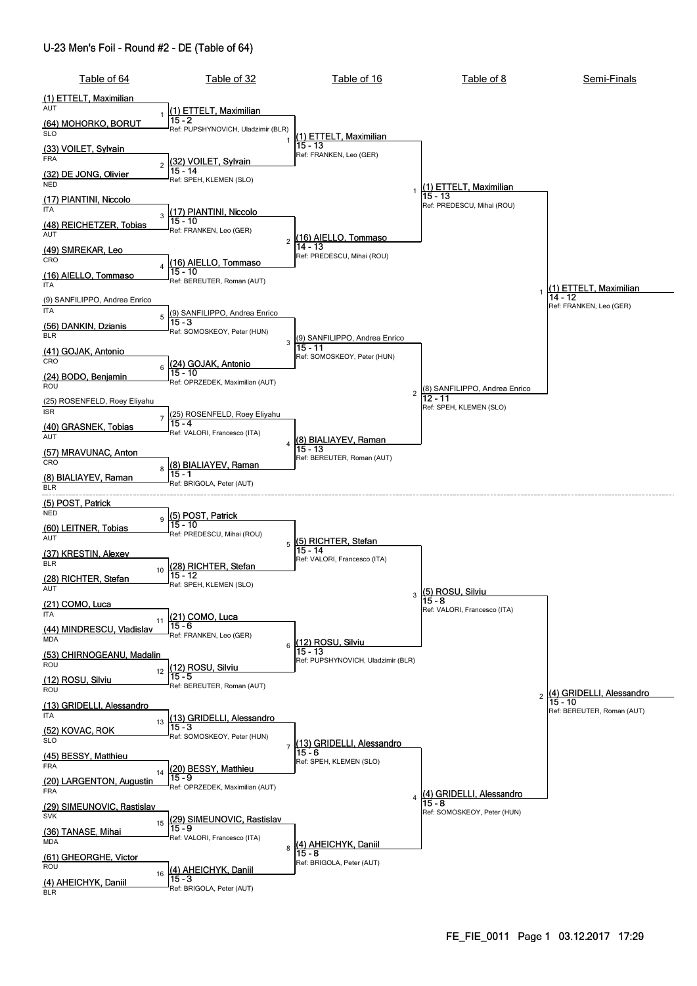#### U-23 Men's Foil - Round #2 - DE (Table of 64)

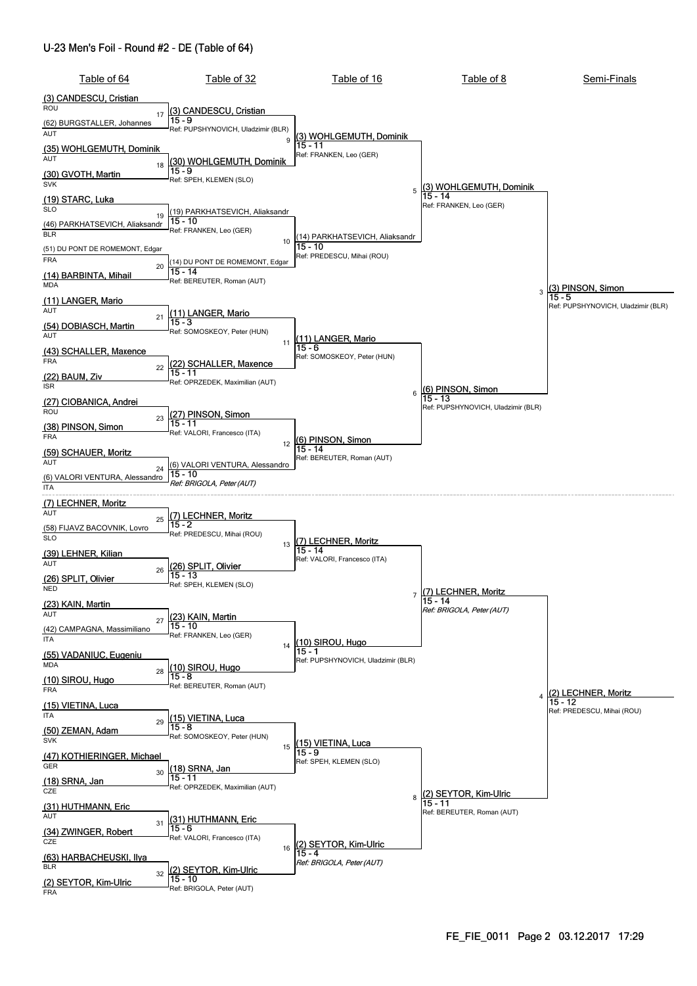#### U-23 Men's Foil - Round #2 - DE (Table of 64)

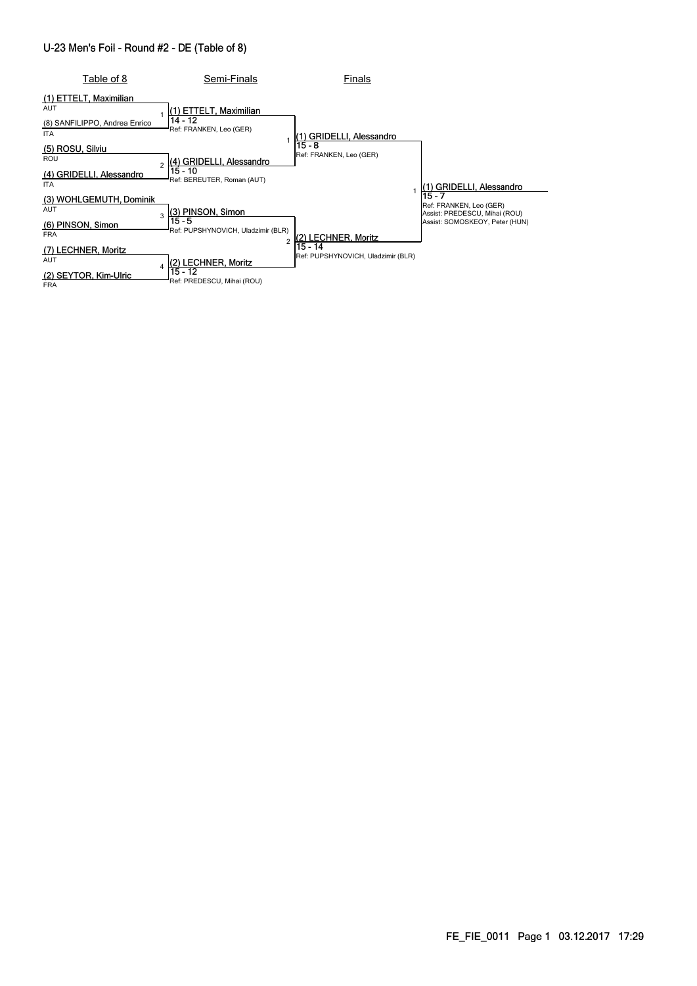#### U-23 Men's Foil - Round #2 - DE (Table of 8)

| Table of 8                                                                          | Semi-Finals                                                            | Finals                                        |                                                                                                      |
|-------------------------------------------------------------------------------------|------------------------------------------------------------------------|-----------------------------------------------|------------------------------------------------------------------------------------------------------|
| (1) ETTELT, Maximilian<br><b>AUT</b><br>(8) SANFILIPPO, Andrea Enrico<br><b>ITA</b> | (1) ETTELT, Maximilian<br>14 - 12<br>Ref: FRANKEN, Leo (GER)           | GRIDELLI, Alessandro                          |                                                                                                      |
| (5) ROSU, Silviu<br><b>ROU</b><br>(4) GRIDELLI, Alessandro<br><b>ITA</b>            | (4) GRIDELLI, Alessandro<br>15 - 10<br>Ref: BEREUTER, Roman (AUT)      | $15 - 8$<br>Ref: FRANKEN, Leo (GER)           | <b>GRIDELLI, Alessandro</b>                                                                          |
| (3) WOHLGEMUTH, Dominik<br><b>AUT</b><br>(6) PINSON, Simon<br><b>FRA</b>            | (3) PINSON, Simon<br>3<br>15 - 5<br>Ref: PUPSHYNOVICH, Uladzimir (BLR) | 2) LECHNER, Moritz                            | 15 - 7<br>Ref: FRANKEN, Leo (GER)<br>Assist: PREDESCU, Mihai (ROU)<br>Assist: SOMOSKEOY, Peter (HUN) |
| (7) LECHNER, Moritz<br><b>AUT</b><br>(2) SEYTOR, Kim-Ulric<br><b>FRA</b>            | (2) LECHNER, Moritz<br>15 - 12<br>Ref: PREDESCU, Mihai (ROU)           | 15 - 14<br>Ref: PUPSHYNOVICH, Uladzimir (BLR) |                                                                                                      |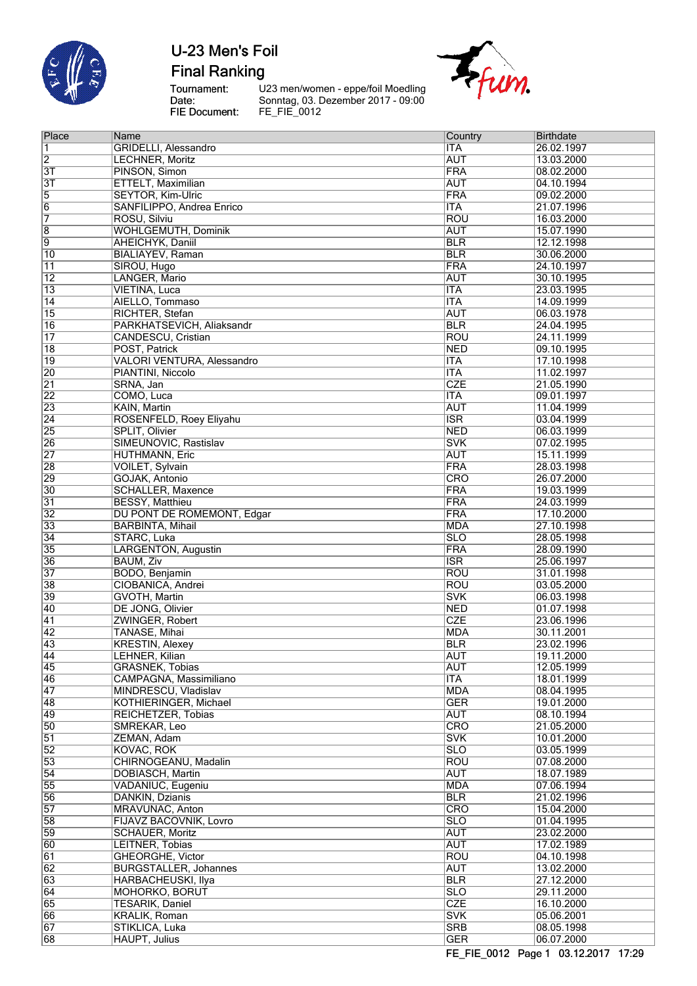

**Final Ranking** 

Tournament:<br>Date:<br>FIE Document:

U23 men/women - eppe/foil Moedling<br>Sonntag, 03. Dezember 2017 - 09:00<br>FE\_FIE\_0012



| Place                 | Name                                 | Country                               | <b>Birthdate</b>         |
|-----------------------|--------------------------------------|---------------------------------------|--------------------------|
| 1                     | <b>GRIDELLI, Alessandro</b>          | <b>ITA</b>                            | 26.02.1997               |
| $\overline{2}$        | <b>LECHNER, Moritz</b>               | <b>AUT</b>                            | 13.03.2000               |
| $\overline{3}$        | PINSON, Simon                        | <b>FRA</b>                            | 08.02.2000               |
| $\overline{3T}$       | <b>ETTELT, Maximilian</b>            | <b>AUT</b>                            | 04.10.1994               |
| $\overline{5}$        | <b>SEYTOR, Kim-Ulric</b>             | <b>FRA</b>                            | 09.02.2000               |
| $\overline{6}$        | SANFILIPPO, Andrea Enrico            | <b>ITA</b>                            | 21.07.1996               |
| 7                     | ROSU, Silviu                         | <b>ROU</b>                            | 16.03.2000               |
| $\overline{8}$        | <b>WOHLGEMUTH, Dominik</b>           | <b>AUT</b>                            | 15.07.1990               |
| $\overline{9}$        | <b>AHEICHYK, Daniil</b>              | <b>BLR</b>                            | 12.12.1998               |
| $\overline{10}$       | <b>BIALIAYEV, Raman</b>              | <b>BLR</b>                            | 30.06.2000               |
| 11                    | SIROU, Hugo                          | <b>FRA</b>                            | 24.10.1997               |
| $\overline{12}$       | LANGER, Mario                        | <b>AUT</b>                            | 30.10.1995               |
| $\overline{13}$       | VIETINA, Luca                        | <b>ITA</b><br><b>ITA</b>              | 23.03.1995               |
| $\overline{14}$<br>15 | AIELLO, Tommaso<br>RICHTER, Stefan   | <b>AUT</b>                            | 14.09.1999<br>06.03.1978 |
| 16                    | PARKHATSEVICH, Aliaksandr            | <b>BLR</b>                            | 24.04.1995               |
| $\overline{17}$       | <b>CANDESCU, Cristian</b>            | <b>ROU</b>                            | 24.11.1999               |
| $\overline{18}$       | POST, Patrick                        | <b>NED</b>                            | 09.10.1995               |
| $\overline{19}$       | <b>VALORI VENTURA, Alessandro</b>    | <b>ITA</b>                            | 17.10.1998               |
| 20                    | PIANTINI, Niccolo                    | <b>ITA</b>                            | 11.02.1997               |
| $\overline{21}$       | SRNA, Jan                            | <b>CZE</b>                            | 21.05.1990               |
| $\overline{22}$       | COMO, Luca                           | <b>ITA</b>                            | 09.01.1997               |
| 23                    | KAIN, Martin                         | <b>AUT</b>                            | 11.04.1999               |
| $\overline{24}$       | ROSENFELD, Roey Eliyahu              | $\overline{\text{ISR}}$               | 03.04.1999               |
| $\overline{25}$       | <b>SPLIT, Olivier</b>                | <b>NED</b>                            | 06.03.1999               |
| 26                    | SIMEUNOVIC, Rastislav                | <b>SVK</b>                            | 07.02.1995               |
| $\overline{27}$       | <b>HUTHMANN, Eric</b>                | <b>AUT</b>                            | 15.11.1999               |
| 28                    | <b>VOILET, Sylvain</b>               | <b>FRA</b>                            | 28.03.1998               |
| 29                    | GOJAK, Antonio                       | CRO                                   | 26.07.2000               |
| $\overline{30}$       | SCHALLER, Maxence                    | <b>FRA</b>                            | 19.03.1999               |
| $\overline{31}$       | <b>BESSY, Matthieu</b>               | <b>FRA</b>                            | 24.03.1999               |
| $\overline{32}$       | DU PONT DE ROMEMONT, Edgar           | <b>FRA</b>                            | 17.10.2000               |
| $\overline{33}$       | <b>BARBINTA, Mihail</b>              | <b>MDA</b>                            | 27.10.1998               |
| $\overline{34}$       | STARC, Luka                          | $\overline{\text{SLO}}$               | 28.05.1998               |
| 35                    | LARGENTON, Augustin                  | <b>FRA</b>                            | 28.09.1990               |
| 36<br>$\overline{37}$ | <b>BAUM, Ziv</b><br>BODO, Benjamin   | $\overline{\text{ISR}}$<br><b>ROU</b> | 25.06.1997               |
| 38                    | CIOBANICA. Andrei                    | <b>ROU</b>                            | 31.01.1998<br>03.05.2000 |
| 39                    | <b>GVOTH, Martin</b>                 | <b>SVK</b>                            | 06.03.1998               |
| 40                    | DE JONG, Olivier                     | <b>NED</b>                            | 01.07.1998               |
| $\overline{41}$       | ZWINGER, Robert                      | <b>CZE</b>                            | 23.06.1996               |
| $\overline{42}$       | TANASE, Mihai                        | <b>MDA</b>                            | 30.11.2001               |
| 43                    | <b>KRESTIN, Alexey</b>               | <b>BLR</b>                            | 23.02.1996               |
| 44                    | LEHNER, Kilian                       | AUT                                   | 19.11.2000               |
| 45                    | GRASNEK, Tobias                      | <b>AUT</b>                            | 12.05.1999               |
| 46                    | CAMPAGNA, Massimiliano               | <b>ITA</b>                            | 18.01.1999               |
| $\overline{47}$       | MINDRESCU, Vladislav                 | <b>MDA</b>                            | 08.04.1995               |
| 48                    | KOTHIERINGER, Michael                | <b>GER</b>                            | 19.01.2000               |
| 49                    | REICHETZER, Tobias                   | <b>AUT</b>                            | 08.10.1994               |
| 50                    | SMREKAR, Leo                         | <b>CRO</b>                            | 21.05.2000               |
| $\overline{51}$       | ZEMAN, Adam                          | <b>SVK</b>                            | 10.01.2000               |
| $\overline{52}$       | KOVAC, ROK                           | $\overline{\text{SLO}}$               | 03.05.1999               |
| 53                    | CHIRNOGEANU, Madalin                 | <b>ROU</b>                            | 07.08.2000               |
| $\overline{54}$       | DOBIASCH, Martin                     | <b>AUT</b>                            | 18.07.1989               |
| 55<br>56              | VADANIUC, Eugeniu<br>DANKIN, Dzianis | <b>MDA</b><br><b>BLR</b>              | 07.06.1994<br>21.02.1996 |
| 57                    | <b>MRAVUNAC, Anton</b>               | <b>CRO</b>                            | 15.04.2000               |
| 58                    | FIJAVZ BACOVNIK, Lovro               | $\overline{\text{SLO}}$               | 01.04.1995               |
| 59                    | <b>SCHAUER, Moritz</b>               | <b>AUT</b>                            | 23.02.2000               |
| 60                    | LEITNER, Tobias                      | <b>AUT</b>                            | 17.02.1989               |
| $\overline{61}$       | GHEORGHE, Victor                     | <b>ROU</b>                            | 04.10.1998               |
| 62                    | <b>BURGSTALLER, Johannes</b>         | <b>AUT</b>                            | 13.02.2000               |
| 63                    | HARBACHEUSKI, Ilya                   | <b>BLR</b>                            | 27.12.2000               |
| 64                    | <b>MOHORKO, BORUT</b>                | $\overline{\text{SLO}}$               | 29.11.2000               |
| 65                    | <b>TESARIK, Daniel</b>               | <b>CZE</b>                            | 16.10.2000               |
| 66                    | <b>KRALIK, Roman</b>                 | <b>SVK</b>                            | 05.06.2001               |
| 67                    | STIKLICA, Luka                       | <b>SRB</b>                            | 08.05.1998               |
| 68                    | <b>HAUPT, Julius</b>                 | <b>GER</b>                            | 06.07.2000               |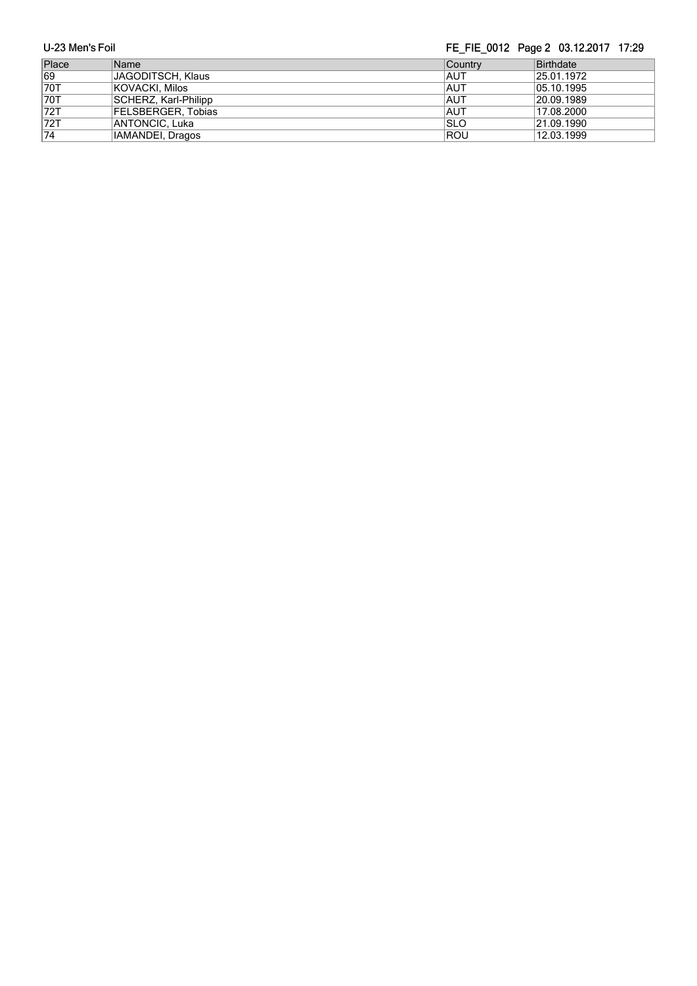| Place           | Name                 | ∣Countrv    | Birthdate  |
|-----------------|----------------------|-------------|------------|
| 69              | JAGODITSCH, Klaus    | <b>IAUT</b> | 25.01.1972 |
| 70T             | KOVACKI, Milos       | <b>AUT</b>  | 05.10.1995 |
| <b>70T</b>      | SCHERZ, Karl-Philipp | <b>AUT</b>  | 20.09.1989 |
| 72T             | FELSBERGER, Tobias   | <b>AUT</b>  | 17.08.2000 |
| 72T             | ANTONCIC, Luka       | ISLO        | 21.09.1990 |
| $\overline{74}$ | IAMANDEI, Dragos     | ROU         | 12.03.1999 |